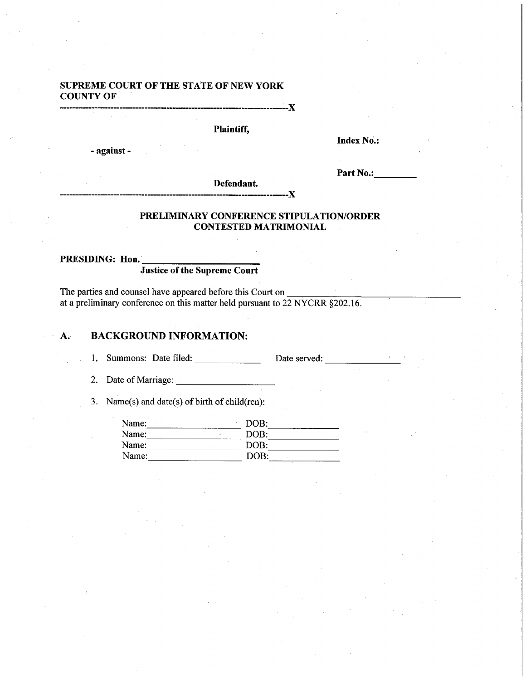## SUPREME COURT OF THE STATE OF NEW YORK COUNTY OF

-------------------------------------------------------------------------}(

Plaintiff,

- against-

Index No.:

Part No.:\_\_\_\_\_

Defendant.

## PRELIMINARY CONFERENCE STIPULATION/ORDER CONTESTED MATRIMONIAL

----------X

## PRESIDING: Hon.

## Justice of the Supreme Court

The parties and counsel have appeared before this Court on \_ at a preliminary conference on this matter held pursuant to 22 NYCRR §202.16.

## A. BACKGROUND INFORMATION:

1, Summons: Date filed: Date served: Date served:

2. Date of Marriage:  $\frac{1}{2}$ 

3. Name(s) and date(s) of birth of child(ren):

| Name: | DOB: |  |
|-------|------|--|
| Name: | DOB: |  |
| Name: | DOB: |  |
| Name: | DOB: |  |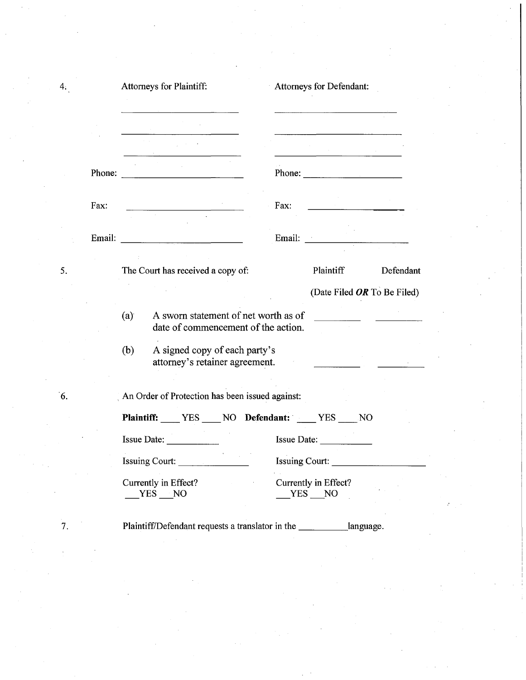|        | Attorneys for Plaintiff:                                                           | Attorneys for Defendant: |                                                                                                                                                                                                                                                                                                                                                                                                                                                                             |           |
|--------|------------------------------------------------------------------------------------|--------------------------|-----------------------------------------------------------------------------------------------------------------------------------------------------------------------------------------------------------------------------------------------------------------------------------------------------------------------------------------------------------------------------------------------------------------------------------------------------------------------------|-----------|
|        |                                                                                    |                          | <u> 1990 - Jan Barnett, fransk politiker (</u>                                                                                                                                                                                                                                                                                                                                                                                                                              |           |
| Phone: |                                                                                    |                          | Phone: $\frac{1}{\sqrt{1-\frac{1}{2}}\sqrt{1-\frac{1}{2}}\sqrt{1-\frac{1}{2}}\sqrt{1-\frac{1}{2}}\sqrt{1-\frac{1}{2}}\sqrt{1-\frac{1}{2}}\sqrt{1-\frac{1}{2}}\sqrt{1-\frac{1}{2}}\sqrt{1-\frac{1}{2}}\sqrt{1-\frac{1}{2}}\sqrt{1-\frac{1}{2}}\sqrt{1-\frac{1}{2}}\sqrt{1-\frac{1}{2}}\sqrt{1-\frac{1}{2}}\sqrt{1-\frac{1}{2}}\sqrt{1-\frac{1}{2}}\sqrt{1-\frac{1}{2}}\sqrt{1-\frac{1}{2}}\sqrt{1-\frac{1}{2$                                                                |           |
| Fax:   |                                                                                    | Fax:                     | $\label{eq:2.1} \frac{1}{\left(1-\frac{1}{2}\right)}\left(\frac{1}{\left(1-\frac{1}{2}\right)}\right)^{\frac{1}{2}}\left(\frac{1}{\left(1-\frac{1}{2}\right)}\right)^{\frac{1}{2}}\left(\frac{1}{\left(1-\frac{1}{2}\right)}\right)^{\frac{1}{2}}\left(\frac{1}{\left(1-\frac{1}{2}\right)}\right)^{\frac{1}{2}}\left(\frac{1}{\left(1-\frac{1}{2}\right)}\right)^{\frac{1}{2}}\left(\frac{1}{\left(1-\frac{1}{2}\right)}\right)^{\frac{1}{2}}\left(\frac{1}{\left(1-\frac$ |           |
| Email: |                                                                                    | Email:                   |                                                                                                                                                                                                                                                                                                                                                                                                                                                                             |           |
|        | The Court has received a copy of:                                                  |                          | Plaintiff                                                                                                                                                                                                                                                                                                                                                                                                                                                                   | Defendant |
|        |                                                                                    |                          | (Date Filed OR To Be Filed)                                                                                                                                                                                                                                                                                                                                                                                                                                                 |           |
|        |                                                                                    |                          |                                                                                                                                                                                                                                                                                                                                                                                                                                                                             |           |
|        | (a)<br>A sworn statement of net worth as of<br>date of commencement of the action. |                          | <u> 1990 - Jan Barnett, p</u>                                                                                                                                                                                                                                                                                                                                                                                                                                               |           |
|        | (b)<br>A signed copy of each party's<br>attorney's retainer agreement.             |                          |                                                                                                                                                                                                                                                                                                                                                                                                                                                                             |           |
|        | An Order of Protection has been issued against:                                    |                          |                                                                                                                                                                                                                                                                                                                                                                                                                                                                             |           |
|        | Plaintiff: YES NO Defendant: YES NO                                                |                          |                                                                                                                                                                                                                                                                                                                                                                                                                                                                             |           |
|        | <b>Issue Date:</b>                                                                 |                          | Issue Date:                                                                                                                                                                                                                                                                                                                                                                                                                                                                 |           |
|        | Issuing Court:                                                                     | <b>Issuing Court:</b>    |                                                                                                                                                                                                                                                                                                                                                                                                                                                                             |           |

5.

 $4:$ 

'6.

7.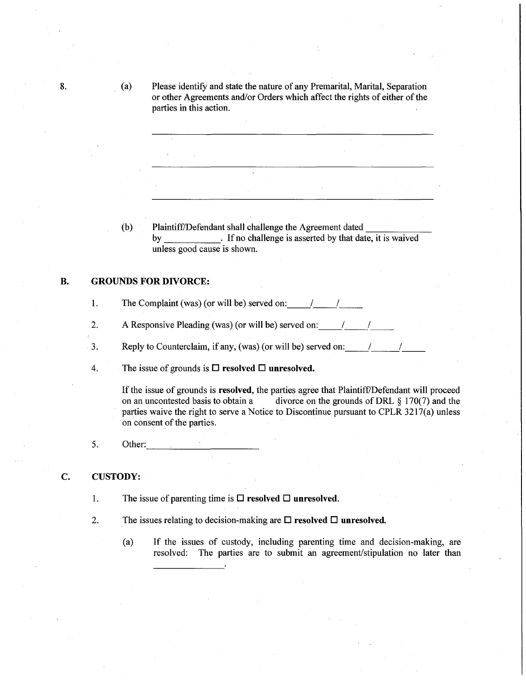8. (a) Please identify and state the nature of any Premarital, Marital, Separation or other Agreements and/or Orders which affect the rights of either of the parties in this action.

> (b) Plaintiff/Defendant shall challenge the Agreement dated by . If no challenge is asserted by that date, it is waived unless good cause is shown.

## B. GROUNDS FOR DIVORCE:

- 1. The Complaint (was) (or will be) served on:  $\frac{1}{2}$  |
- 2. A Responsive Pleading (was) (or will be) served on:  $\frac{1}{2}$  |
- 3. Reply to Counterclaim, if any, (was) (or will be) served on:  $\frac{1}{2}$
- 4. The issue of grounds is  $\Box$  resolved  $\Box$  unresolved.

If the issue of grounds is **resolved**, the parties agree that Plaintiff/Defendant will proceed<br>on an uncontested basis to obtain a divorce on the grounds of DRL  $\frac{8}{170(7)}$  and the divorce on the grounds of DRL  $\S$  170(7) and the parties waive the right to serve a Notice to Discontinue pursuant to CPLR 3217(a) unless on consent of the parties. .

 $5.$  Other:

## C. CUSTODY:

- 1. The issue of parenting time is  $\Box$  resolved  $\Box$  unresolved.
- 2. The issues relating to decision-making are  $\square$  resolved  $\square$  unresolved.
	- (a) If the issues of custody, including parenting time and decision-making, are resolved: The parties are to submit an agreement/stipulation no later than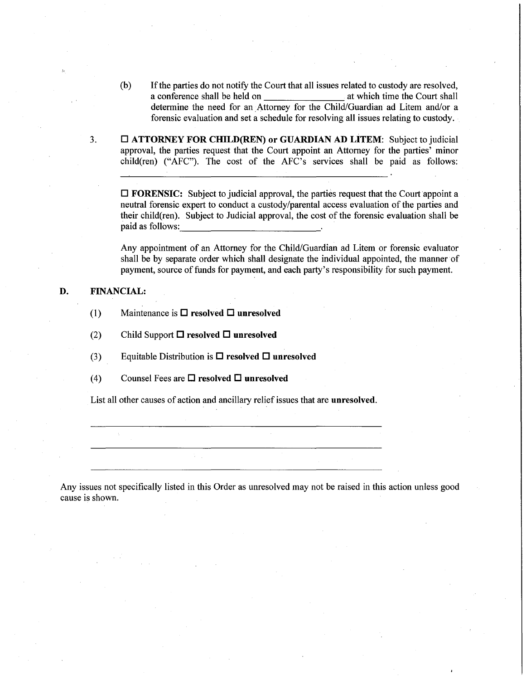- (b) If the parties do not notify the Court that all issues related to custody are resolved,<br>a conference shall be held on at which time the Court shall a conference shall be held on determine the need for an Attorney for the Child/Guardian ad Litem and/or a forensic evaluation and set a schedule for resolving all issues relating to custody.
- 3.  $\Box$  ATTORNEY FOR CHILD(REN) or GUARDIAN AD LITEM: Subject to judicial approval, the parties request that the Court appoint an Attorney for the parties' minor child(ren) ("AFC"). The cost of the AFC's services shall be paid as follows:

 $\Box$  FORENSIC: Subject to judicial approval, the parties request that the Court appoint a neutral forensic expert to conduct a custody/parental access evaluation of the parties and their child(ren). Subject to Judicial approval, the cost of the forensic evaluation shall be paid as follows:

Any appointment of an Attorney for the Child/Guardian ad Litem or forensic evaluator shall be by separate order which shall designate the individual appointed, the manner of payment, source of funds for payment, and each party's responsibility for such payment.

## D. FINANCIAL:

.'.,

- (1) Maintenance is  $\Box$  resolved  $\Box$  unresolved
- (2) Child Support  $\Box$  resolved  $\Box$  unresolved
- (3) Equitable Distribution is  $\Box$  resolved  $\Box$  unresolved
- (4) Counsel Fees are  $\Box$  resolved  $\Box$  unresolved

List all other causes of action and ancillary relief issues that are unresolved.

Any issues not specifically listed in this Order as unresolved may not be raised in this action unless good cause is shown.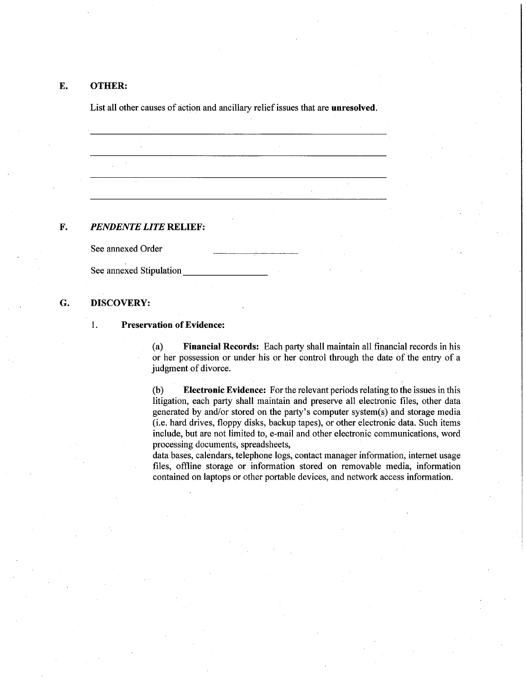## E. OTHER:

List all other causes of action and ancillary relief issues that are unresolved.

## F. *PENDENTE LITE* RELIEF:

See annexed Order

See annexed Stipulation

## G. DISCOVERY:

#### 1. Preservation of Evidence:

(a) Financial Records: Each party shall maintain all financial records in his or her possession or under his or her control through the date of the entry of a judgment of divorce.

(b) Electronic Evidence: For the relevant periods relating to the issues in this litigation, each party shall maintain and preserve all electronic files, other data generated by and/or stored on the party's computer system(s) and storage media (i.e. hard drives, floppy disks, backup tapes), or other electronic data. Such items include, but are not limited to, e-mail and other electronic communications, word processing documents, spreadsheets,

data bases, calendars, telephone logs, contact manager information, internet usage files, offline storage or information stored on removable media, information contained on laptops or other portable devices, and network access information.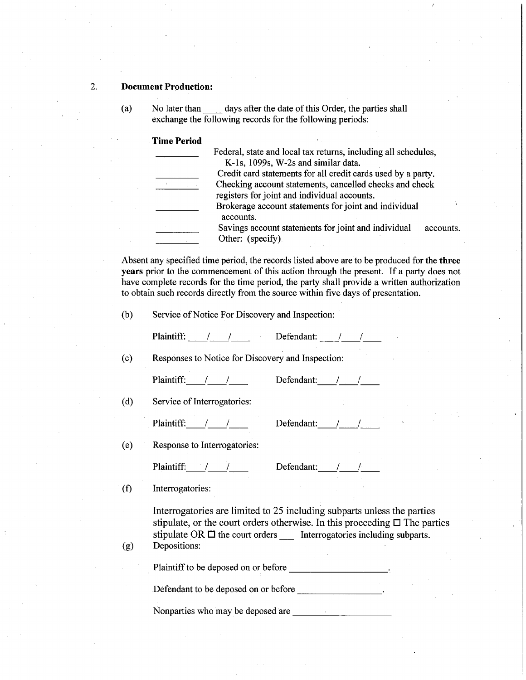## 2. **Document Production:**

(a) No later than \_\_ days after the date of this Order, the parties shall exchange the following records for the following periods:

#### Time Period

|  | Federal, state and local tax returns, including all schedules,           |           |
|--|--------------------------------------------------------------------------|-----------|
|  | K-1s, 1099s, W-2s and similar data.                                      |           |
|  | Credit card statements for all credit cards used by a party.             |           |
|  | Checking account statements, cancelled checks and check                  |           |
|  | registers for joint and individual accounts.                             |           |
|  | Brokerage account statements for joint and individual<br>accounts.       |           |
|  | Savings account statements for joint and individual<br>Other: (specify). | accounts. |

Absent any specified time period, the records listed above are to be produced for the three years prior to the commencement of this action through the present. If a party does not have complete records for the time period, the party shall provide a written authorization to obtain such records directly from the source within five days of presentation.

(b) Service of Notice For Discovery and Inspection:

Plaintiff: / / Defendant: / /

(c) Responses to Notice for Discovery and Inspection:

Plaintiff: / / / Defendant: / /

(d) Service of Interrogatories:

Plaintiff: / / / Defendantiff:

| etendant: |  |  |
|-----------|--|--|
|           |  |  |

(e) Response to Interrogatories:

Plaintiff: / / / Defendant: / /

(f) Interrogatories:

Interrogatories are limited to 25 including subparts unless the parties stipulate, or the court orders otherwise. In this proceeding  $\Box$  The parties stipulate OR  $\Box$  the court orders Interrogatories including subparts.

(g) Depositions:

Plaintiff to be deposed on or before  $\blacksquare$ 

Defendant to be deposed on or before **Defendant** to be deposed on or before

Nonparties who may be deposed are **Nonparties**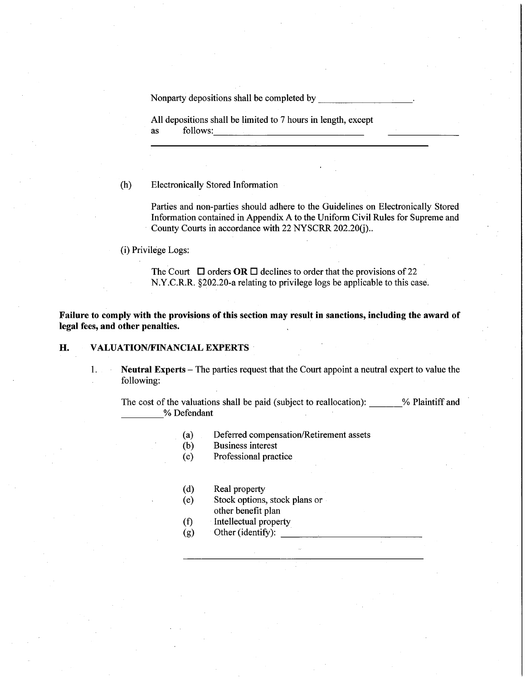Nonparty depositions shall be completed by

All depositions shall be limited to 7 hours in length, except as follows:

(h) Electronically Stored Information

Parties and non-parties should adhere to the Guidelines on Electronically Stored Information contained in Appendix A to the Uniform Civil Rules for Supreme and County Courts in accordance with 22 NYSCRR 202.20(j)...

(i) Privilege Logs:

The Court  $\Box$  orders OR  $\Box$  declines to order that the provisions of 22 N.Y.C.R.R. §202.20-a relating to privilege logs be applicable to this case.

Failure to comply with the provisions of this section may result in sanctions, including the award of legal fees, and other penalties.

## H. VALUATION/FINANCIAL EXPERTS

1. Neutral Experts - The parties request that the Court appoint a neutral expert to value the following:

The cost of the valuations shall be paid (subject to reallocation):  $\%$  Plaintiff and % Defendant

- (a) Deferred compensation/Retirement assets
- (b) Business interest
- (c) Professional practice
- (d) Real property
- (e) Stock options, stock plans or other benefit plan
- (f) Intellectual property
- $(g)$  Other (identify):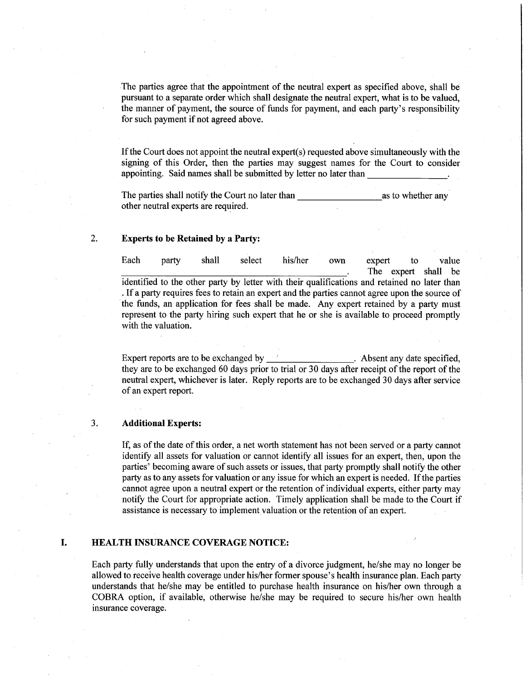The parties agree that the appointment of the neutral expert as specified above, shall be pursuant to a separate order which shall designate the neutral expert, what is to be valued, the manner of payment, the source of funds for payment, and each party's responsibility for such payment if not agreed above.

If the Court does not appoint the neutral expert(s) requested above simultaneously with the signing of this Order, then the parties may suggest names for the Court to consider appointing. Said names shall be submitted by letter no later than \_\_\_\_\_\_\_ \_

The parties shall notify the Court no later than the same as to whether any other neutral experts are required.

## 2. **Experts to be Retained by a Party:**

Each party shall select his/her own expert to value The expert shall be identified to the other party by letter with their qualifications and retained no later than . If a party requires fees to retain an expert and the parties cannot agree upon the source of the funds, an application for fees shall be made. Any expert retained by a party must represent to the party hiring such expert that he or she is available to proceed promptly with the valuation.

Expert reports are to be exchanged by \_\_\_\_\_\_\_\_\_\_\_\_\_\_\_\_\_\_\_\_. Absent any date specified, they are to be exchanged 60 days prior to trial or 30 days after receipt of the report of the neutral expert, whichever is later. Reply reports are to be exchanged 30 days after service of an expert report.

#### 3. **Additional Experts:**

If, as of the date of this order, a net worth statement has not been served or a party cannot identify all assets for valuation or cannot identify all issues for an expert, then, upon the parties' becoming aware of such assets or issues, that party promptly shall notify the other party as to any assets for valuation or any issue for which an expert is needed. If the parties cannot agree upon a neutral expert or the retention of individual experts, either party may notify the Court for appropriate action. Timely application shall be made to the Court if assistance is necessary to implement valuation or the retention of an expert.

#### **I. HEALTH INSURANCE COVERAGE NOTICE:**

Each party fully understands that upon the entry of a divorce judgment, he/she may no longer be allowed to receive health coverage under his/her fonner spouse's health insurance plan. Each party understands that he/she may be entitled to purchase health insurance on his/her own through a COBRA option, if available, otherwise he/she may be required to secure hislher own health insurance coverage.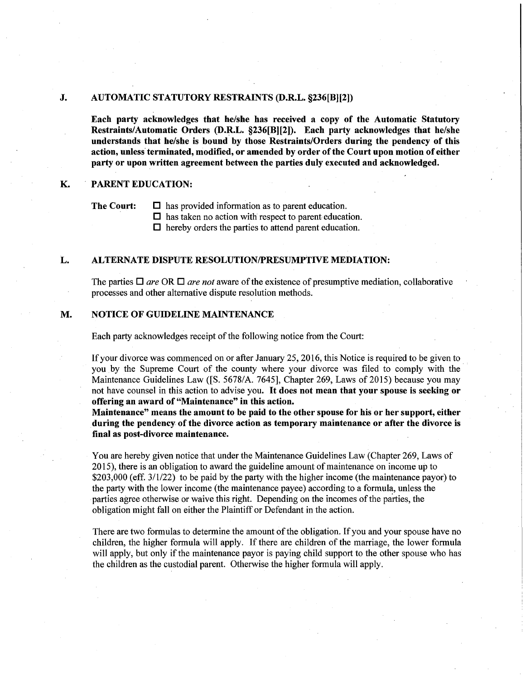## J. AUTOMATIC STATUTORY RESTRAINTS (D.R.L. §236[B][2])

Each party acknowledges that he/she has received a copy of the Automatic Statutory Restraints/Automatic Orders (D.R.L. §236[B][2]). Each party acknowledges that he/she understands that he/she is bound by those Restraints/Orders during the pendency of this action, unless terminated, modified, or amended by order of the Court upon motion of either party or upon written agreement between the parties duly executed and acknowledged.

#### K. PARENT EDUCATION:

The Court:  $\Box$  has provided information as to parent education.

 $\Box$  has taken no action with respect to parent education.

 $\Box$  hereby orders the parties to attend parent education.

## L. ALTERNATE DISPUTE RESOLUTION/PRESUMPTIVE MEDIATION:

The parties  $\Box$  *are* OR  $\Box$  *are not* aware of the existence of presumptive mediation, collaborative processes and other alternative dispute resolution methods.

## M. NOTICE OF GUIDELINE MAINTENANCE

Each party acknowledges receipt of the following notice from the Court:

If your divorce was commenced on or after January 25, 2016, this Notice is required to be given to you. by the Supreme Court of the county where your divorce was filed to comply with the· Maintenance Guidelines Law ([S. 5678/A. 7645], Chapter 269, Laws of 2015) because you may not have counsel in this action to advise you. It does not mean that your spouse is seeking or offering an award of "Maintenance" in this actjon.

Maintenance" means the amount to be paid to the other spouse for his or her support, either during the pendency of the divorce action as temporary maintenance or after the divorce is final as post-divorce maintenance.

You are hereby given notice that under the Maintenance Guidelines Law (Chapter 269, Laws of 2015), there is an obligation to award the guideline amount of maintenance on income up to \$203,000 (eff. 3/1/22) to be paid by the party with the higher income (the maintenance payor) to the party with the lower income (the maintenance payee) according to a formula, unless the parties agree otherwise or waive this right. Depending on the incomes of the parties, the obligation might fall on either the Plaintiff or Defendant in the action.

There are two formulas to determine the amount of the obligation. If you and your spouse have no children, the higher formula will apply. If there are children of the marriage, the lower formula will apply, but only if the maintenance payor is paying child support to the other spouse who has the children as the custodial parent. Otherwise the higher formula will apply.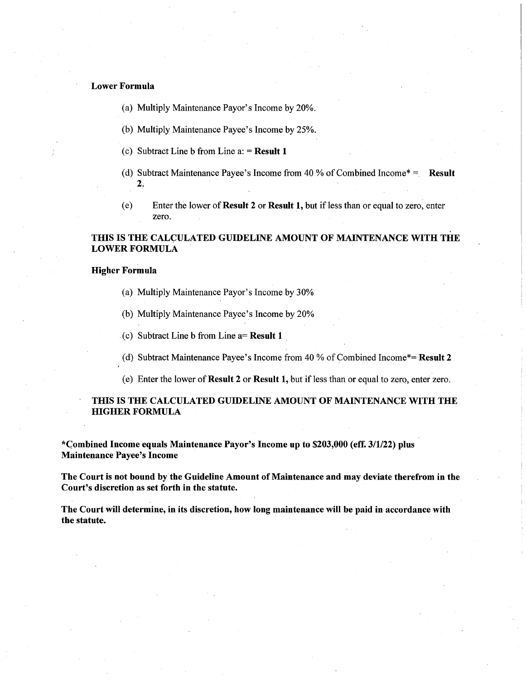## Lower Formula

- (a) Multiply Maintenance Payor's Income by 20%.
- (b) Multiply Maintenance Payee's Income by 25%.
- (c) Subtract Line b from Line  $a$ : = Result 1
- (d) Subtract Maintenance Payee's Income from 40 % of Combined Income\* = Result 2.
- (e) Enter the lower of Result 2 or Result 1, but if less than or equal to zero, enter zero.

## THIS IS THE CALCULATED GUIDELINE AMOUNT OF MAINTENANCE WITH THE LOWER FORMULA

#### Higher Formula

- (a) Multiply Maintenance Payor's Income by 30%
- (b) Multiply Maintenance Payee's Income by 20%
- (c) Subtract Line b from Line  $a=$  **Result 1**
- (d) Subtract Maintenance Payee's Income from 40 % of Combined Income\*= Result 2
- (e) Enter the lower of Result 2 or Result 1, but if less than or equal to zerq, enter zero.

## THIS IS THE CALCULATED GUIDELINE AMOUNT OF MAINTENANCE WITH THE HIGHER FORMULA

\*C;ombined Income equals Maintenance Payor's Income up to \$203,000 (eff. 3/1/22) plus Maintenance Payee's Income

The Court is not bound by the Guideline Amount of Maintenance and may deviate therefrom in the Court's discretion as set forth in the statute.

The Court will determine, in its discretion, how long maintenance will be paid in accordance with the statute.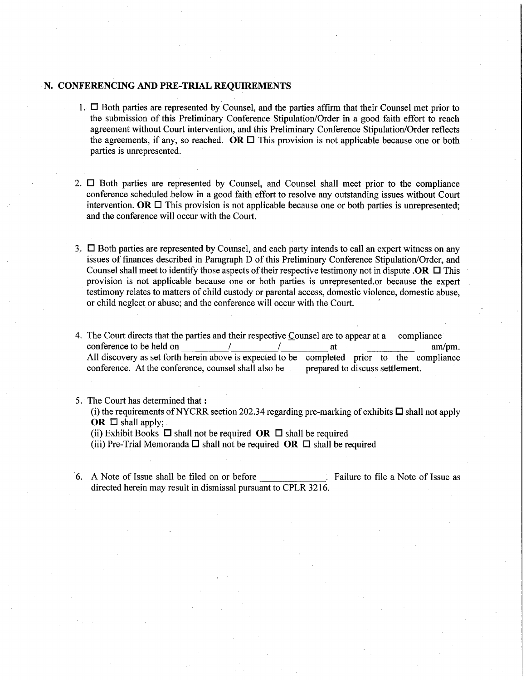## . **N. CONFERENCING AND PRE-TRIAL REQUIREMENTS**

- 1.  $\Box$  Both parties are represented by Counsel, and the parties affirm that their Counsel met prior to the submission of this Preliminary Conference Stipulation/Order in a good faith effort to reach agreement without Court intervention, and this Preliminary Conference Stipulation/Order reflects the agreements, if any, so reached. **OR**  $\Box$  This provision is not applicable because one or both parties is unrepresented.
- 2.  $\Box$  Both parties are represented by Counsel, and Counsel shall meet prior to the compliance conference scheduled below in a good faith effort to resolve any outstanding issues without Court intervention.  $OR \square$  This provision is not applicable because one or both parties is unrepresented; and the conference will occur with the Court.
- 3.  $\square$  Both parties are represented by Counsel, and each party intends to call an expert witness on any issues of finances described in Paragraph D of this Preliminary Conference Stipulation/Order, and Counsel shall meet to identify those aspects of their respective testimony not in dispute **.OR**  $\Box$  This provision is not applicable because one or both parties is unrepresented. or because the expert testimony relates to matters of child custody or parental access, domestic violence, domestic abuse, or child neglect or abuse; and the conference will occur with the Court.
- 4. The Court directs that the parties and their respective Counsel are to appear at a compliance conference to be held on  $/$  /  $at$  at am/pm. All discovery as set forth herein above is expected to be completed prior to the compliance conference. At the conference, counsel shall also be prepared to discuss settlement.
- 5. The Court has determined that: (i) the requirements of NYCRR section 202.34 regarding pre-marking of exhibits  $\Box$  shall not apply OR  $\Box$  shall apply;

(ii) Exhibit Books  $\Box$  shall not be required **OR**  $\Box$  shall be required

(iii) Pre-Trial Memoranda  $\Box$  shall not be required **OR**  $\Box$  shall be required

6. A Note of Issue shall be filed on or before  $\frac{1}{\sqrt{1-\frac{1}{n}}}$ . Failure to file a Note of Issue as directed herein may result in dismissal pursuant to CPLR 3216.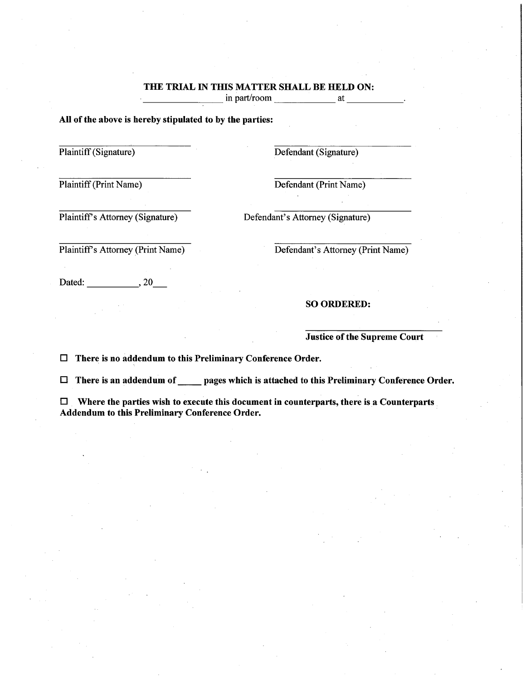# THE TRIAL IN THIS MATTER SHALL BE HELD ON: \_\_\_\_\_\_\_\_ in part/room \_\_\_\_\_\_ at \_\_\_\_ \_

## All of the above is hereby stipulated to by the parties:

Plaintiff (Signature) Defendant (Signature)

Plaintiff (Print Name) Defendant (Print Name)

Plaintiff's Attorney (Signature) Defendant's Attorney (Signature)

Plaintiff's Attorney (Print Name) Defendant's Attorney (Print Name)

Dated: 1. 20

SO ORDERED:

Justice of the Supreme Court

 $\Box$  There is no addendum to this Preliminary Conference Order.

 $\Box$  There is an addendum of \_\_\_\_\_ pages which is attached to this Preliminary Conference Order.

 $\Box$  Where the parties wish to execute this document in counterparts, there is a Counterparts Addendum to this Preliminary Conference Order.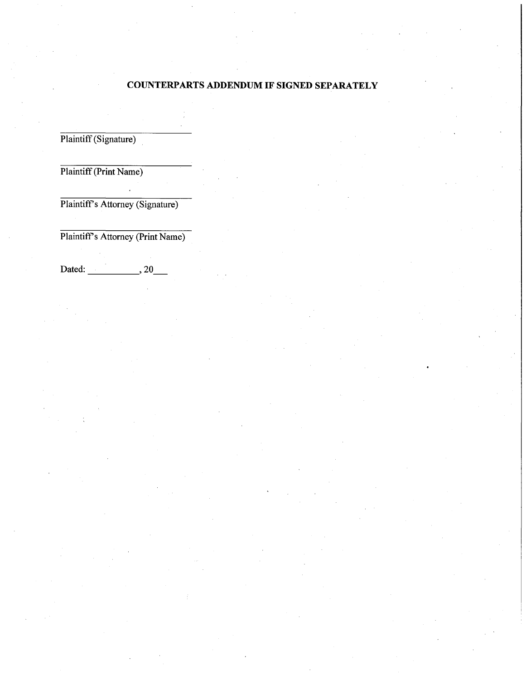## **COUNTERPARTS ADDENDUM IF SIGNED SEPARATELY**

Plaintiff (Signature)

Plaintiff (Print Name)

Plaintiff's Attorney (Signature)

Plaintiff's Attorney (Print Name)

Dated: \_\_\_\_\_ , 20\_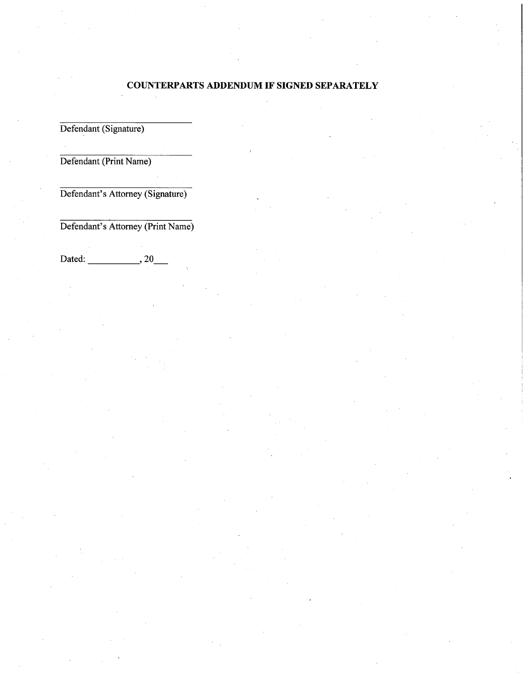# COUNTERPARTS ADDENDUM IF SIGNED SEPARATELY

Defendant (Signature)

Defendant (Print Name)

Defendant's Attorney (Signature)

Defendant's Attorney (Print Name)

Dated: \_\_\_\_\_ , 20\_